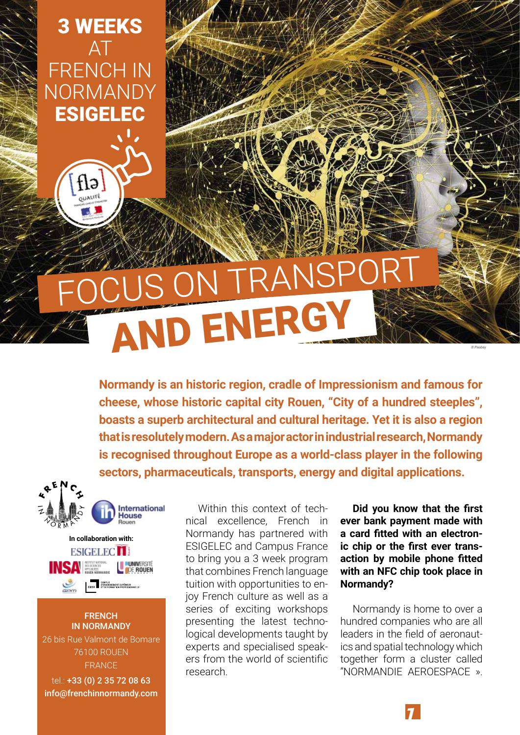3 WEEKS AT FRENCH IN NORMANDY ESIGELEC

> flə OUALITÉ

## AND ENERGY S ON TRA

**Normandy is an historic region, cradle of Impressionism and famous for cheese, whose historic capital city Rouen, "City of a hundred steeples", boasts a superb architectural and cultural heritage. Yet it is also a region that is resolutely modern. As a major actor in industrial research, Normandy is recognised throughout Europe as a world-class player in the following sectors, pharmaceuticals, transports, energy and digital applications.**



**FRENCH** IN NORMANDY 26 bis Rue Valmont de Bomare 76100 ROUEN FRANCE

tel.: +33 (0) 2 35 72 08 63 info@frenchinnormandy.com

Within this context of technical excellence, French in Normandy has partnered with ESIGELEC and Campus France to bring you a 3 week program that combines French language tuition with opportunities to enjoy French culture as well as a series of exciting workshops presenting the latest technological developments taught by experts and specialised speakers from the world of scientific research.

**Did you know that the first ever bank payment made with a card fitted with an electronic chip or the first ever transaction by mobile phone fitted with an NFC chip took place in Normandy?**

*© Pixabay*

Normandy is home to over a hundred companies who are all leaders in the field of aeronautics and spatial technology which together form a cluster called "NORMANDIE AEROESPACE ».

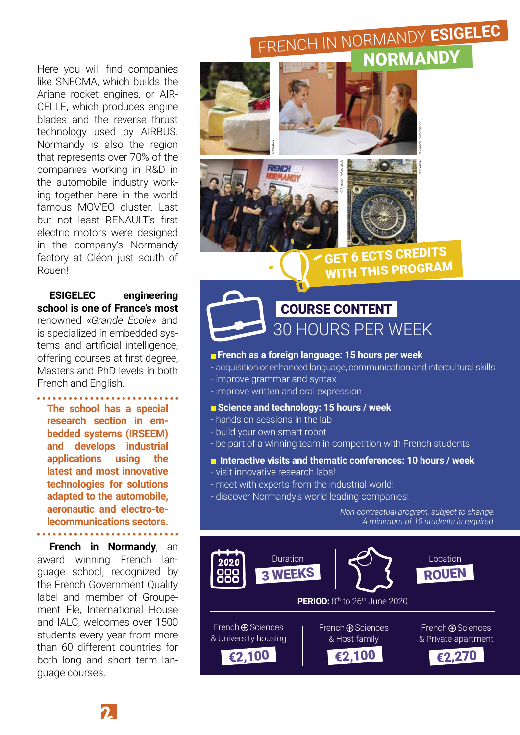Here you will find companies like SNECMA, which builds the Ariane rocket engines, or AIR-CELLE, which produces engine blades and the reverse thrust technology used by AIRBUS. Normandy is also the region that represents over 70% of the companies working in R&D in the automobile industry working together here in the world famous MOV'FO cluster. Last but not least RENAULT's first electric motors were designed in the company's Normandy factory at Cléon just south of Rouen!

**ESIGELEC engineering school is one of France's most** renowned «*Grande École*» and is specialized in embedded systems and artificial intelligence, offering courses at first degree, Masters and PhD levels in both French and English.

**The school has a special research section in embedded systems (IRSEEM) and develops industrial applications using the latest and most innovative technologies for solutions adapted to the automobile, aeronautic and electro-telecommunications sectors.**

. . . . . . . . . . . . . . . . . . . .

**French in Normandy**, an award winning French language school, recognized by the French Government Quality label and member of Groupement Fle, International House and IALC, welcomes over 1500 students every year from more than 60 different countries for both long and short term language courses.

### FRENCH IN NORMANDY **ESIGELEC** NORMANDY





*© Pixabay © French in Normandy*

GET 6 ECTS CREDITS WITH THIS PROGRAM

COURSE CONTENT 30 HOURS PER WEEK

### **French as a foreign language: 15 hours per week**

- acquisition or enhanced language, communication and intercultural skills - improve grammar and syntax
- improve written and oral expression

### **Science and technology: 15 hours / week**

- hands on sessions in the lab
- build your own smart robot
- be part of a winning team in competition with French students

### **Interactive visits and thematic conferences: 10 hours / week**

- visit innovative research labs!
- meet with experts from the industrial world!
- discover Normandy's world leading companies!

*Non-contractual program, subject to change. A minimum of 10 students is required.*

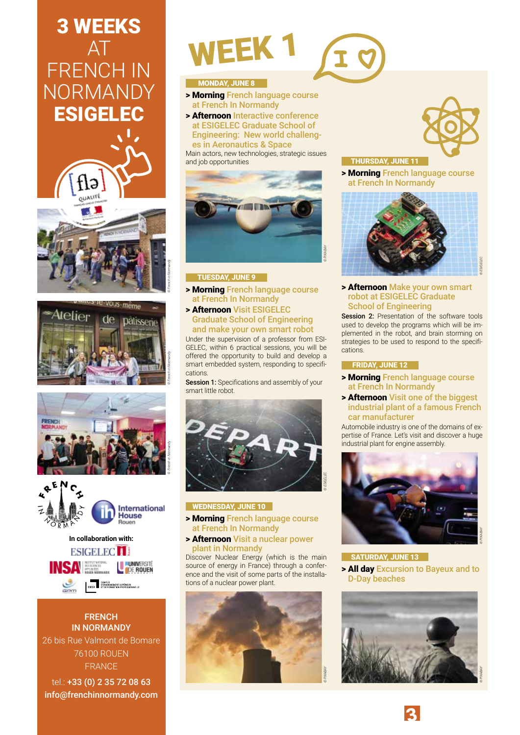### 3 WEEKS AT FRENCH IN **NORMANDY** ESIGELEC











**FRENCH** IN NORMANDY 26 bis Rue Valmont de Bomare 76100 ROUEN FRANCE

tel.: +33 (0) 2 35 72 08 63 info@frenchinnormandy.com

# WEEK 1

### **MONDAY, JUNE 8**

- > Morning French language course at French In Normandy
- > Afternoon Interactive conference at ESIGELEC Graduate School of Engineering: New world challenges in Aeronautics & Space

Main actors, new technologies, strategic issues and job opportunities



### TUESDAY, JUNE 9

- > Morning French language course at French In Normandy
- > Afternoon Visit ESIGELEC Graduate School of Engineering and make your own smart robot

Under the supervision of a professor from ESI-GELEC, within 6 practical sessions, you will be offered the opportunity to build and develop a smart embedded system, responding to specifications.

Session 1: Specifications and assembly of your smart little robot.



### WEDNESDAY, JUNE 10

- > Morning French language course at French In Normandy
- > Afternoon Visit a nuclear power plant in Normandy

Discover Nuclear Energy (which is the main source of energy in France) through a conference and the visit of some parts of the installations of a nuclear power plant.



THURSDAY, JUNE 11

*© PIXABAY*

> Morning French language course at French In Normandy



> Afternoon Make your own smart robot at ESIGELEC Graduate School of Engineering

Session 2: Presentation of the software tools used to develop the programs which will be implemented in the robot, and brain storming on strategies to be used to respond to the specifications.

### FRIDAY, JUNE 12

- > Morning French language course at French In Normandy
- > Afternoon Visit one of the biggest industrial plant of a famous French car manufacturer

Automobile industry is one of the domains of expertise of France. Let's visit and discover a huge industrial plant for engine assembly.



### SATURDAY, JUNE 13

> All day Excursion to Bayeux and to D-Day beaches